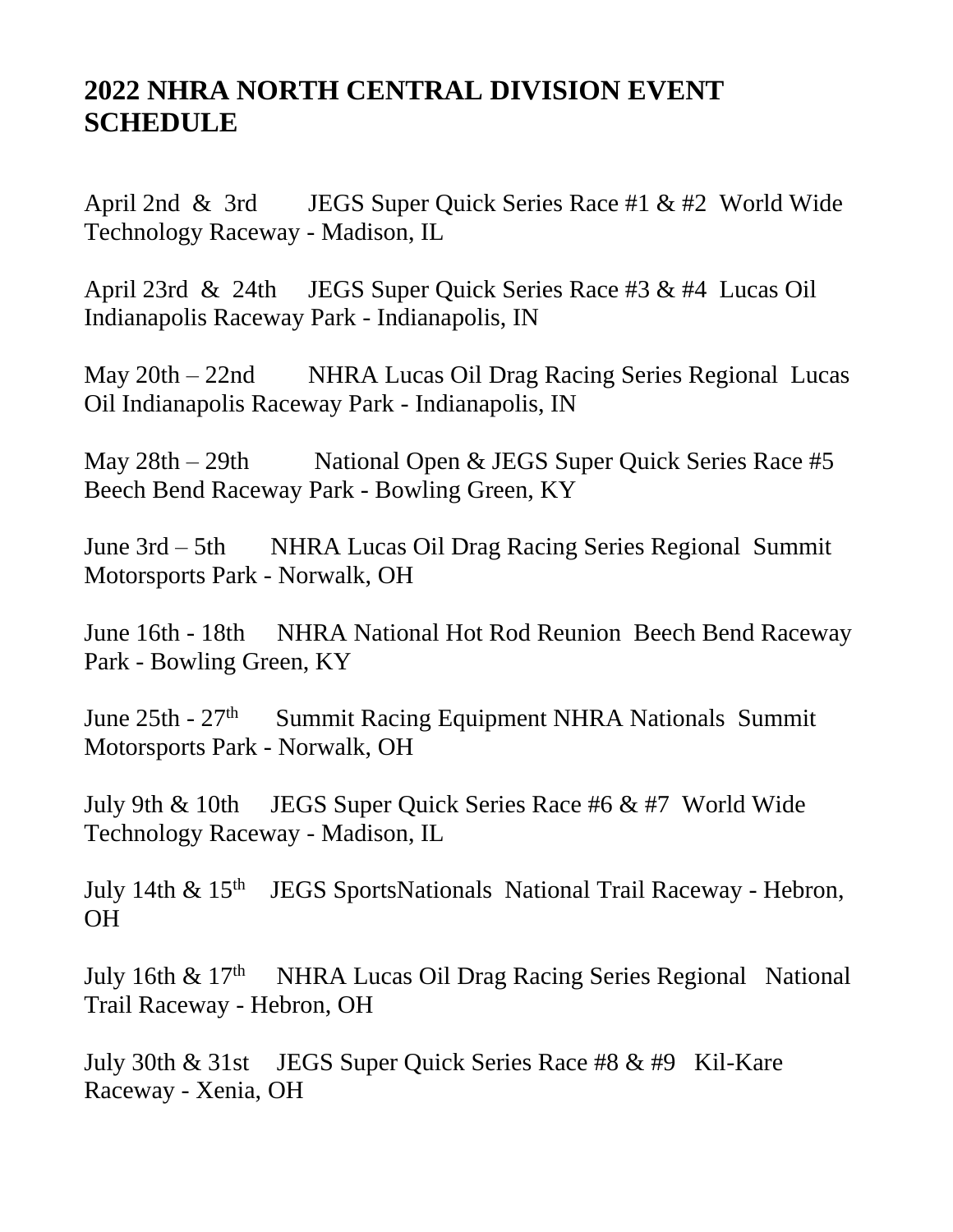## **2022 NHRA NORTH CENTRAL DIVISION EVENT SCHEDULE**

April 2nd & 3rd JEGS Super Quick Series Race #1 & #2 World Wide Technology Raceway - Madison, IL

April 23rd & 24th JEGS Super Quick Series Race #3 & #4 Lucas Oil Indianapolis Raceway Park - Indianapolis, IN

May 20th – 22nd NHRA Lucas Oil Drag Racing Series Regional Lucas Oil Indianapolis Raceway Park - Indianapolis, IN

May 28th – 29th National Open & JEGS Super Quick Series Race #5 Beech Bend Raceway Park - Bowling Green, KY

June 3rd – 5th NHRA Lucas Oil Drag Racing Series Regional Summit Motorsports Park - Norwalk, OH

June 16th - 18th NHRA National Hot Rod Reunion Beech Bend Raceway Park - Bowling Green, KY

June  $25th - 27<sup>th</sup>$  Summit Racing Equipment NHRA Nationals Summit Motorsports Park - Norwalk, OH

July 9th & 10th JEGS Super Quick Series Race #6 & #7 World Wide Technology Raceway - Madison, IL

July 14th  $\&$  15<sup>th</sup> JEGS SportsNationals National Trail Raceway - Hebron, OH

July 16th  $\&$  17<sup>th</sup> NHRA Lucas Oil Drag Racing Series Regional National Trail Raceway - Hebron, OH

July 30th & 31st JEGS Super Quick Series Race #8 & #9 Kil-Kare Raceway - Xenia, OH